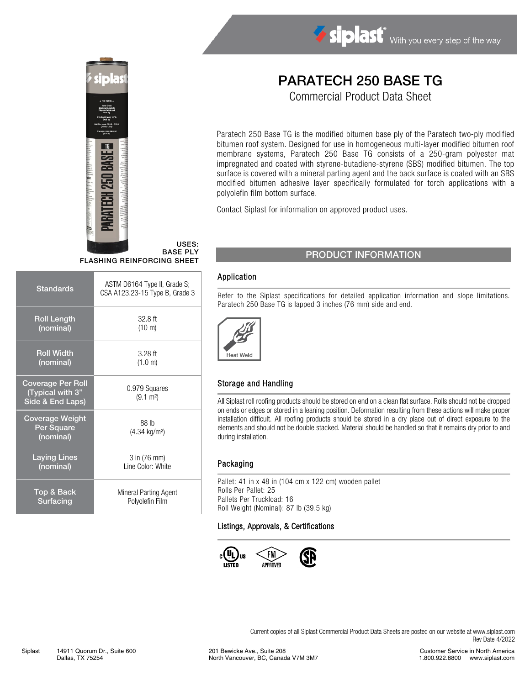

USES: BASE PLY FLASHING REINFORCING SHEET

| <b>Standards</b>                                                 | ASTM D6164 Type II, Grade S;<br>CSA A123.23-15 Type B, Grade 3 |
|------------------------------------------------------------------|----------------------------------------------------------------|
| <b>Roll Length</b>                                               | $32.8$ ft                                                      |
| (nominal)                                                        | $(10 \text{ m})$                                               |
| <b>Roll Width</b>                                                | $3.28$ ft                                                      |
| (nominal)                                                        | (1.0 m)                                                        |
| <b>Coverage Per Roll</b><br>(Typical with 3"<br>Side & End Laps) | 0.979 Squares<br>$(9.1 \text{ m}^2)$                           |
| Coverage Weight<br>Per Square<br>(nominal)                       | 88 lb<br>$(4.34 \text{ kg/m}^2)$                               |
| <b>Laying Lines</b>                                              | 3 in (76 mm)                                                   |
| (nominal)                                                        | Line Color: White                                              |
| Top & Back                                                       | Mineral Parting Agent                                          |
| Surfacing                                                        | Polyolefin Film                                                |

# PARATECH 250 BASE TG

Siplast With you every step of the way

Commercial Product Data Sheet

Paratech 250 Base TG is the modified bitumen base ply of the Paratech two-ply modified bitumen roof system. Designed for use in homogeneous multi-layer modified bitumen roof membrane systems, Paratech 250 Base TG consists of a 250-gram polyester mat impregnated and coated with styrene-butadiene-styrene (SBS) modified bitumen. The top surface is covered with a mineral parting agent and the back surface is coated with an SBS modified bitumen adhesive layer specifically formulated for torch applications with a polyolefin film bottom surface.

Contact Siplast for information on approved product uses.

### PRODUCT INFORMATION

#### Application

Refer to the Siplast specifications for detailed application information and slope limitations. Paratech 250 Base TG is lapped 3 inches (76 mm) side and end.



#### Storage and Handling

All Siplast roll roofing products should be stored on end on a clean flat surface. Rolls should not be dropped on ends or edges or stored in a leaning position. Deformation resulting from these actions will make proper installation difficult. All roofing products should be stored in a dry place out of direct exposure to the elements and should not be double stacked. Material should be handled so that it remains dry prior to and during installation.

#### Packaging

Pallet: 41 in x 48 in (104 cm x 122 cm) wooden pallet Rolls Per Pallet: 25 Pallets Per Truckload: 16 Roll Weight (Nominal): 87 lb (39.5 kg)

#### Listings, Approvals, & Certifications



Current copies of all Siplast Commercial Product Data Sheets are posted on our website at [www.siplast.com](http://www.siplast.com/) Rev Date 4/2022